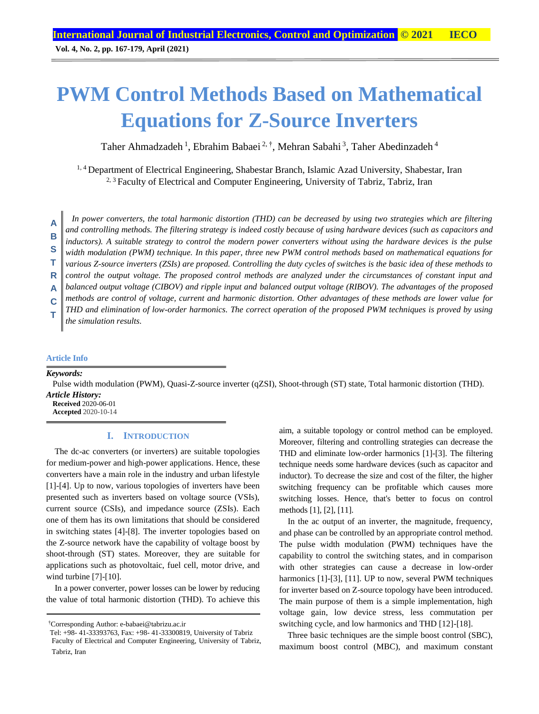# **PWM Control Methods Based on Mathematical Equations for Z-Source Inverters**

Taher Ahmadzadeh<sup>1</sup>, Ebrahim Babaei<sup>2,†</sup>, Mehran Sabahi<sup>3</sup>, Taher Abedinzadeh<sup>4</sup>

<sup>1, 4</sup> Department of Electrical Engineering, Shabestar Branch, Islamic Azad University, Shabestar, Iran <sup>2, 3</sup> Faculty of Electrical and Computer Engineering, University of Tabriz, Tabriz, Iran

*In power converters, the total harmonic distortion (THD) can be decreased by using two strategies which are filtering and controlling methods. The filtering strategy is indeed costly because of using hardware devices (such as capacitors and inductors). A suitable strategy to control the modern power converters without using the hardware devices is the pulse width modulation (PWM) technique. In this paper, three new PWM control methods based on mathematical equations for various Z-source inverters (ZSIs) are proposed. Controlling the duty cycles of switches is the basic idea of these methods to control the output voltage. The proposed control methods are analyzed under the circumstances of constant input and balanced output voltage (CIBOV) and ripple input and balanced output voltage (RIBOV). The advantages of the proposed methods are control of voltage, current and harmonic distortion. Other advantages of these methods are lower value for THD and elimination of low-order harmonics. The correct operation of the proposed PWM techniques is proved by using the simulation results.* **A B S T R A C T**

# **Article Info**

*Keywords:*

Pulse width modulation (PWM), Quasi-Z-source inverter (qZSI), Shoot-through (ST) state, Total harmonic distortion (THD). *Article History:*

**Received** 2020-06-01 **Accepted** 2020-10-14

## **I. INTRODUCTION**

The dc-ac converters (or inverters) are suitable topologies for medium-power and high-power applications. Hence, these converters have a main role in the industry and urban lifestyle [1]-[4]. Up to now, various topologies of inverters have been presented such as inverters based on voltage source (VSIs), current source (CSIs), and impedance source (ZSIs). Each one of them has its own limitations that should be considered in switching states [4]-[8]. The inverter topologies based on the Z-source network have the capability of voltage boost by shoot-through (ST) states. Moreover, they are suitable for applications such as photovoltaic, fuel cell, motor drive, and wind turbine [7]-[10].

In a power converter, power losses can be lower by reducing the value of total harmonic distortion (THD). To achieve this

aim, a suitable topology or control method can be employed. Moreover, filtering and controlling strategies can decrease the THD and eliminate low-order harmonics [1]-[3]. The filtering technique needs some hardware devices (such as capacitor and inductor). To decrease the size and cost of the filter, the higher switching frequency can be profitable which causes more switching losses. Hence, that's better to focus on control methods [1], [2], [11].

In the ac output of an inverter, the magnitude, frequency, and phase can be controlled by an appropriate control method. The pulse width modulation (PWM) techniques have the capability to control the switching states, and in comparison with other strategies can cause a decrease in low-order harmonics [1]-[3], [11]. UP to now, several PWM techniques for inverter based on Z-source topology have been introduced. The main purpose of them is a simple implementation, high voltage gain, low device stress, less commutation per switching cycle, and low harmonics and THD [12]-[18].

Three basic techniques are the simple boost control (SBC), maximum boost control (MBC), and maximum constant

<sup>†</sup>Corresponding Author: [e-babaei@tabrizu.ac.ir](mailto:e-babaei@tabrizu.ac.ir)

Tel: +98- 41-33393763, Fax: +98- 41-33300819, University of Tabriz Faculty of Electrical and Computer Engineering, University of Tabriz, Tabriz, Iran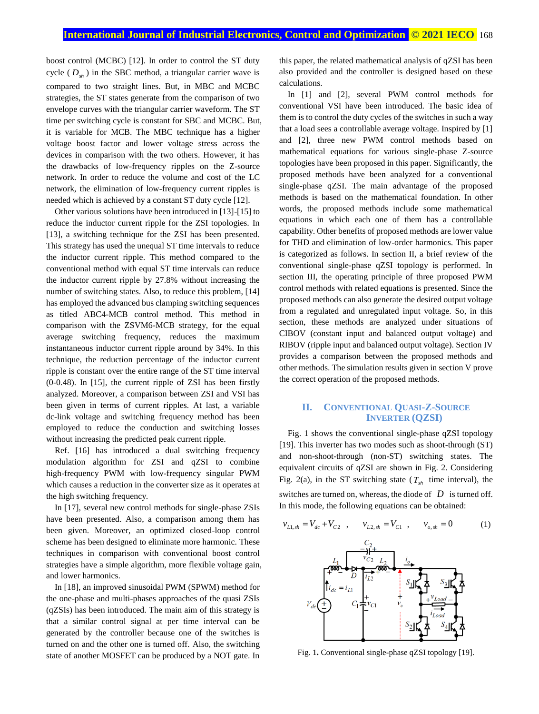boost control (MCBC) [12]. In order to control the ST duty cycle ( *Dsh* ) in the SBC method, a triangular carrier wave is compared to two straight lines. But, in MBC and MCBC strategies, the ST states generate from the comparison of two envelope curves with the triangular carrier waveform. The ST time per switching cycle is constant for SBC and MCBC. But, it is variable for MCB. The MBC technique has a higher voltage boost factor and lower voltage stress across the devices in comparison with the two others. However, it has the drawbacks of low-frequency ripples on the Z-source network. In order to reduce the volume and cost of the LC network, the elimination of low-frequency current ripples is needed which is achieved by a constant ST duty cycle [12].

Other various solutions have been introduced in [13]-[15] to reduce the inductor current ripple for the ZSI topologies. In [13], a switching technique for the ZSI has been presented. This strategy has used the unequal ST time intervals to reduce the inductor current ripple. This method compared to the conventional method with equal ST time intervals can reduce the inductor current ripple by 27.8% without increasing the number of switching states. Also, to reduce this problem, [14] has employed the advanced bus clamping switching sequences as titled ABC4-MCB control method. This method in comparison with the ZSVM6-MCB strategy, for the equal average switching frequency, reduces the maximum instantaneous inductor current ripple around by 34%. In this technique, the reduction percentage of the inductor current ripple is constant over the entire range of the ST time interval (0-0.48). In [15], the current ripple of ZSI has been firstly analyzed. Moreover, a comparison between ZSI and VSI has been given in terms of current ripples. At last, a variable dc-link voltage and switching frequency method has been employed to reduce the conduction and switching losses without increasing the predicted peak current ripple.

Ref. [16] has introduced a dual switching frequency modulation algorithm for ZSI and qZSI to combine high-frequency PWM with low-frequency singular PWM which causes a reduction in the converter size as it operates at the high switching frequency.

In [17], several new control methods for single-phase ZSIs have been presented. Also, a comparison among them has been given. Moreover, an optimized closed-loop control scheme has been designed to eliminate more harmonic. These techniques in comparison with conventional boost control strategies have a simple algorithm, more flexible voltage gain, and lower harmonics.

In [18], an improved sinusoidal PWM (SPWM) method for the one-phase and multi-phases approaches of the quasi ZSIs (qZSIs) has been introduced. The main aim of this strategy is that a similar control signal at per time interval can be generated by the controller because one of the switches is turned on and the other one is turned off. Also, the switching state of another MOSFET can be produced by a NOT gate. In

this paper, the related mathematical analysis of qZSI has been also provided and the controller is designed based on these calculations.

In [1] and [2], several PWM control methods for conventional VSI have been introduced. The basic idea of them is to control the duty cycles of the switches in such a way that a load sees a controllable average voltage. Inspired by [1] and [2], three new PWM control methods based on mathematical equations for various single-phase Z-source topologies have been proposed in this paper. Significantly, the proposed methods have been analyzed for a conventional single-phase qZSI. The main advantage of the proposed methods is based on the mathematical foundation. In other words, the proposed methods include some mathematical equations in which each one of them has a controllable capability. Other benefits of proposed methods are lower value for THD and elimination of low-order harmonics. This paper is categorized as follows. In section II, a brief review of the conventional single-phase qZSI topology is performed. In section III, the operating principle of three proposed PWM control methods with related equations is presented. Since the proposed methods can also generate the desired output voltage from a regulated and unregulated input voltage. So, in this section, these methods are analyzed under situations of CIBOV (constant input and balanced output voltage) and RIBOV (ripple input and balanced output voltage). Section IV provides a comparison between the proposed methods and other methods. The simulation results given in section V prove the correct operation of the proposed methods.

## **II. CONVENTIONAL QUASI-Z-SOURCE INVERTER (QZSI)**

Fig. 1 shows the conventional single-phase qZSI topology [19]. This inverter has two modes such as shoot-through (ST) and non-shoot-through (non-ST) switching states. The equivalent circuits of qZSI are shown in Fig. 2. Considering Fig. 2(a), in the ST switching state  $(T_{sh}$  time interval), the switches are turned on, whereas, the diode of  $D$  is turned off. In this mode, the following equations can be obtained:



Fig. 1**.** Conventional single-phase qZSI topology [19].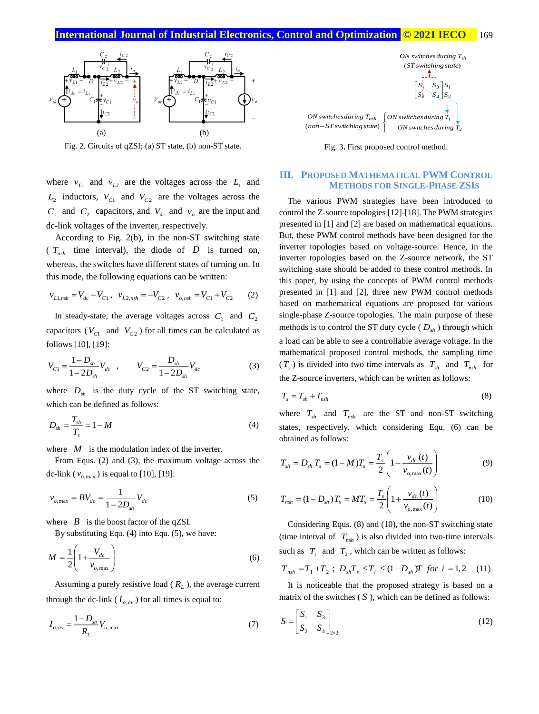## **International Journal of Industrial Electronics, Control and Optimization .© 2021 IECO…** 169



Fig. 2. Circuits of qZSI; (a) ST state, (b) non-ST state.

where  $v_{L1}$  and  $v_{L2}$  are the voltages across the  $L_1$  and  $L_2$  inductors,  $V_{C1}$  and  $V_{C2}$  are the voltages across the  $C_1$  and  $C_2$  capacitors, and  $V_{dc}$  and  $v_o$  are the input and dc-link voltages of the inverter, respectively.

According to Fig. 2(b), in the non-ST switching state ( $T_{nsh}$  time interval), the diode of  $D$  is turned on, whereas, the switches have different states of turning on. In this mode, the following equations can be written:

$$
v_{L1,nsh} = V_{dc} - V_{C1}, \quad v_{L2,nsh} = -V_{C2}, \quad v_{o,nsh} = V_{C1} + V_{C2} \tag{2}
$$

In steady-state, the average voltages across  $C_1$  and  $C_2$ capacitors ( $V_{C1}$  and  $V_{C2}$ ) for all times can be calculated as follows [10], [19]:

$$
V_{C1} = \frac{1 - D_{sh}}{1 - 2D_{sh}} V_{dc} , \qquad V_{C2} = \frac{D_{sh}}{1 - 2D_{sh}} V_{dc}
$$
 (3)

where  $D_{sh}$  is the duty cycle of the ST switching state, which can be defined as follows:

$$
D_{sh} = \frac{T_{sh}}{T_s} = 1 - M \tag{4}
$$

where  $M$  is the modulation index of the inverter.

From Equs. (2) and (3), the maximum voltage across the dc-link ( $v_{o,\text{max}}$ ) is equal to [10], [19]:

$$
v_{o,\text{max}} = BV_{dc} = \frac{1}{1 - 2D_{sh}} V_{dc}
$$
 (5)

where  $\mathbf{B}$  is the boost factor of the qZSI.

By substituting Equ. (4) into Equ. (5), we have:

$$
M = \frac{1}{2} \left( 1 + \frac{V_{dc}}{v_{o,\text{max}}} \right) \tag{6}
$$

Assuming a purely resistive load ( *R<sup>L</sup>* ), the average current through the dc-link ( $I_{o,av}$ ) for all times is equal to:

$$
I_{o,av} = \frac{1 - D_{sh}}{R_L} V_{o,\text{max}}
$$
 (7)



Fig. 3**.** First proposed control method.

## **III. PROPOSED MATHEMATICAL PWM CONTROL METHODS FOR SINGLE-PHASE ZSIS**

The various PWM strategies have been introduced to control the Z-source topologies [12]-[18]. The PWM strategies presented in [1] and [2] are based on mathematical equations. But, these PWM control methods have been designed for the inverter topologies based on voltage-source. Hence, in the inverter topologies based on the Z-source network, the ST switching state should be added to these control methods. In this paper, by using the concepts of PWM control methods presented in [1] and [2], three new PWM control methods based on mathematical equations are proposed for various single-phase Z-source topologies. The main purpose of these methods is to control the ST duty cycle ( *Dsh* ) through which a load can be able to see a controllable average voltage. In the mathematical proposed control methods, the sampling time  $(T_s)$  is divided into two time intervals as  $T_{sh}$  and  $T_{nsh}$  for the Z-source inverters, which can be written as follows:

$$
T_s = T_{sh} + T_{nsh} \tag{8}
$$

where  $T_{sh}$  and  $T_{nsh}$  are the ST and non-ST switching states, respectively, which considering Equ. (6) can be obtained as follows:

$$
T_{sh} = D_{sh} T_s = (1 - M)T_s = \frac{T_s}{2} \left( 1 - \frac{v_{dc}(t)}{v_{o,\text{max}}(t)} \right)
$$
(9)

$$
T_{nsh} = (1 - D_{sh})T_s = MT_s = \frac{T_s}{2} \left( 1 + \frac{v_{dc}(t)}{v_{o,\text{max}}(t)} \right)
$$
(10)

Considering Equs. (8) and (10), the non-ST switching state (time interval of  $T_{nsh}$ ) is also divided into two-time intervals such as  $T_1$  and  $T_2$ , which can be written as follows:

$$
T_{nsh} = T_1 + T_2 ; D_{sh}T_s \le T_i \le (1 - D_{sh})T \text{ for } i = 1, 2 \quad (11)
$$

It is noticeable that the proposed strategy is based on a matrix of the switches  $(S)$ , which can be defined as follows:

$$
S = \begin{bmatrix} S_1 & S_3 \\ S_2 & S_4 \end{bmatrix}_{2 \times 2} \tag{12}
$$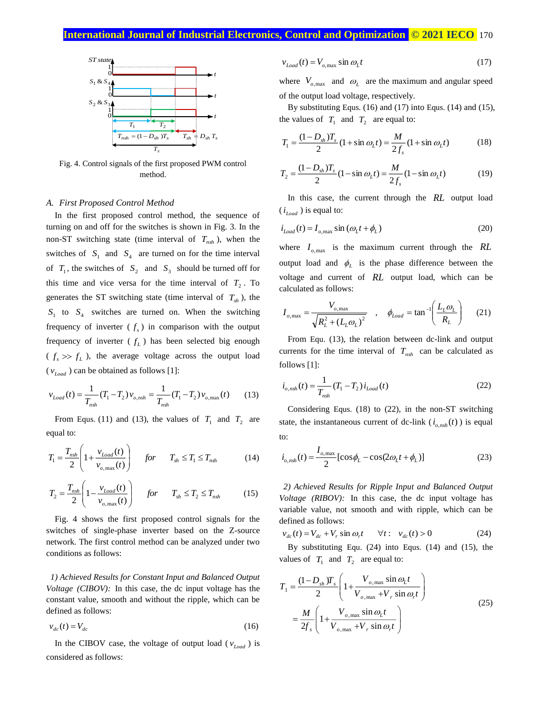# **International Journal of Industrial Electronics, Control and Optimization .© 2021 IECO.** 170



Fig. 4. Control signals of the first proposed PWM control method.

#### *A. First Proposed Control Method*

In the first proposed control method, the sequence of turning on and off for the switches is shown in Fig. 3. In the non-ST switching state (time interval of  $T_{nsh}$ ), when the switches of  $S_1$  and  $S_4$  are turned on for the time interval of  $T_1$ , the switches of  $S_2$  and  $S_3$  should be turned off for this time and vice versa for the time interval of  $T_2$ . To generates the ST switching state (time interval of  $T_{sh}$ ), the  $S_1$  to  $S_4$  switches are turned on. When the switching frequency of inverter  $(f_s)$  in comparison with the output frequency of inverter  $(f_L)$  has been selected big enough  $(f_s \gg f_L)$ , the average voltage across the output load  $(v_{Load})$  can be obtained as follows [1]:

$$
v_{Load}(t) = \frac{1}{T_{nsh}}(T_1 - T_2)v_{o,nsh} = \frac{1}{T_{nsh}}(T_1 - T_2)v_{o,\text{max}}(t)
$$
(13)

From Equs. (11) and (13), the values of  $T_1$  and  $T_2$  are equal to:

$$
T_1 = \frac{T_{nsh}}{2} \left( 1 + \frac{v_{Load}(t)}{v_{o,max}(t)} \right) \quad for \quad T_{sh} \le T_1 \le T_{nsh} \tag{14}
$$

$$
T_2 = \frac{T_{nsh}}{2} \left( 1 - \frac{v_{Load}(t)}{v_{o,max}(t)} \right) \quad for \quad T_{sh} \le T_2 \le T_{nsh} \tag{15}
$$

Fig. 4 shows the first proposed control signals for the switches of single-phase inverter based on the Z-source network. The first control method can be analyzed under two conditions as follows:

*1) Achieved Results for Constant Input and Balanced Output Voltage (CIBOV):* In this case, the dc input voltage has the constant value, smooth and without the ripple, which can be defined as follows:

$$
v_{dc}(t) = V_{dc} \tag{16}
$$

In the CIBOV case, the voltage of output load ( $v_{load}$ ) is considered as follows:

$$
v_{Load}(t) = V_{o, \text{max}} \sin \omega_L t \tag{17}
$$

where  $V_{o,\text{max}}$  and  $\omega_L$  are the maximum and angular speed of the output load voltage, respectively.

By substituting Equs. (16) and (17) into Equs. (14) and (15), the values of  $T_1$  and  $T_2$  are equal to:

$$
T_1 = \frac{(1 - D_{sh})T_s}{2} (1 + \sin \omega_L t) = \frac{M}{2f_s} (1 + \sin \omega_L t)
$$
 (18)

$$
T_2 = \frac{(1 - D_{sh})T_s}{2} (1 - \sin \omega_L t) = \frac{M}{2f_s} (1 - \sin \omega_L t)
$$
 (19)

In this case, the current through the *RL* output load  $(i_{Load})$  is equal to:

$$
i_{Load}(t) = I_{o, \max} \sin \left(\omega_L t + \phi_L\right) \tag{20}
$$

where  $I_{o,\text{max}}$  is the maximum current through the  $RL$ output load and  $\phi$ <sub>L</sub> is the phase difference between the voltage and current of *RL* output load, which can be calculated as follows:

$$
I_{o,\text{max}} = \frac{V_{o,\text{max}}}{\sqrt{R_L^2 + (L_L \omega_L)^2}} \quad , \quad \phi_{Load} = \tan^{-1} \left( \frac{L_L \omega_L}{R_L} \right) \tag{21}
$$

From Equ. (13), the relation between dc-link and output currents for the time interval of  $T_{nsh}$  can be calculated as follows [1]:

$$
i_{o,nsh}(t) = \frac{1}{T_{nsh}} (T_1 - T_2) i_{Load}(t)
$$
 (22)

Considering Equs. (18) to (22), in the non-ST switching state, the instantaneous current of dc-link  $(i_{o,nsh}(t))$  is equal to:

$$
i_{o, nsh}(t) = \frac{I_{o, \max}}{2} [\cos \phi_L - \cos(2\omega_L t + \phi_L)]
$$
 (23)

*2) Achieved Results for Ripple Input and Balanced Output Voltage (RIBOV):* In this case, the dc input voltage has variable value, not smooth and with ripple, which can be defined as follows:

$$
v_{dc}(t) = V_{dc} + V_r \sin \omega_r t \qquad \forall t: \quad v_{dc}(t) > 0 \tag{24}
$$

By substituting Equ. (24) into Equs. (14) and (15), the values of  $T_1$  and  $T_2$  are equal to:

$$
T_1 = \frac{(1 - D_{sh})T_s}{2} \left( 1 + \frac{V_{o,\text{max}} \sin \omega_t t}{V_{o,\text{max}} + V_r \sin \omega_r t} \right)
$$
  
= 
$$
\frac{M}{2f_s} \left( 1 + \frac{V_{o,\text{max}} \sin \omega_t t}{V_{o,\text{max}} + V_r \sin \omega_r t} \right)
$$
 (25)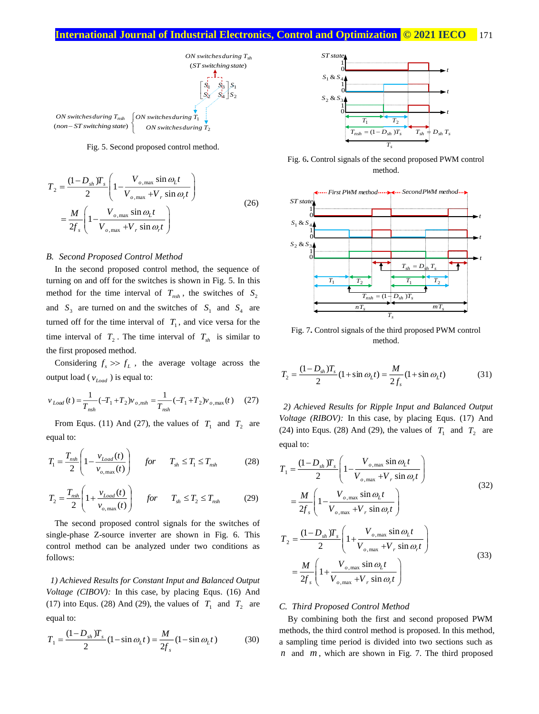

Fig. 5. Second proposed control method.

$$
T_2 = \frac{(1 - D_{sh})T_s}{2} \left( 1 - \frac{V_{o,\text{max}} \sin \omega_L t}{V_{o,\text{max}} + V_r \sin \omega_r t} \right)
$$
  
= 
$$
\frac{M}{2f_s} \left( 1 - \frac{V_{o,\text{max}} \sin \omega_L t}{V_{o,\text{max}} + V_r \sin \omega_r t} \right)
$$
 (26)

#### *B. Second Proposed Control Method*

In the second proposed control method, the sequence of turning on and off for the switches is shown in Fig. 5. In this method for the time interval of  $T_{nsh}$ , the switches of  $S_2$ and  $S_3$  are turned on and the switches of  $S_1$  and  $S_4$  are turned off for the time interval of  $T_1$ , and vice versa for the time interval of  $T_2$ . The time interval of  $T_{sh}$  is similar to the first proposed method.

Considering  $f_s \gg f_L$ , the average voltage across the output load ( $v_{Load}$ ) is equal to:

$$
v_{Load}(t) = \frac{1}{T_{nsh}}(-T_1 + T_2)v_{o,nsh} = \frac{1}{T_{nsh}}(-T_1 + T_2)v_{o,\text{max}}(t)
$$
 (27)

From Equs. (11) And (27), the values of  $T_1$  and  $T_2$  are equal to:

$$
T_1 = \frac{T_{nsh}}{2} \left( 1 - \frac{v_{Load}(t)}{v_{o,max}(t)} \right) \quad for \quad T_{sh} \le T_1 \le T_{nsh} \tag{28}
$$

$$
T_2 = \frac{T_{nsh}}{2} \left( 1 + \frac{v_{Load}(t)}{v_{o,max}(t)} \right) \quad for \quad T_{sh} \le T_2 \le T_{nsh} \tag{29}
$$

The second proposed control signals for the switches of single-phase Z-source inverter are shown in Fig. 6. This control method can be analyzed under two conditions as follows:

*1) Achieved Results for Constant Input and Balanced Output Voltage (CIBOV):* In this case, by placing Equs. (16) And (17) into Equs. (28) And (29), the values of  $T_1$  and  $T_2$  are equal to:

$$
T_1 = \frac{(1 - D_{sh})T_s}{2} (1 - \sin \omega_L t) = \frac{M}{2f_s} (1 - \sin \omega_L t)
$$
 (30)



Fig. 6**.** Control signals of the second proposed PWM control method.



Fig. 7**.** Control signals of the third proposed PWM control method.

$$
T_2 = \frac{(1 - D_{sh})T_s}{2} (1 + \sin \omega_L t) = \frac{M}{2f_s} (1 + \sin \omega_L t)
$$
(31)

*2) Achieved Results for Ripple Input and Balanced Output Voltage (RIBOV):* In this case, by placing Equs. (17) And (24) into Equs. (28) And (29), the values of  $T_1$  and  $T_2$  are equal to:

$$
T_{1} = \frac{(1 - D_{sh})T_{s}}{2} \left( 1 - \frac{V_{o,\max} \sin \omega_{L} t}{V_{o,\max} + V_{r} \sin \omega_{r} t} \right)
$$
  
\n
$$
= \frac{M}{2f_{s}} \left( 1 - \frac{V_{o,\max} \sin \omega_{L} t}{V_{o,\max} + V_{r} \sin \omega_{r} t} \right)
$$
  
\n
$$
T_{2} = \frac{(1 - D_{sh})T_{s}}{2} \left( 1 + \frac{V_{o,\max} \sin \omega_{L} t}{V_{o,\max} + V_{r} \sin \omega_{r} t} \right)
$$
  
\n
$$
= \frac{M}{2f_{s}} \left( 1 + \frac{V_{o,\max} \sin \omega_{L} t}{V_{o,\max} + V_{r} \sin \omega_{r} t} \right)
$$
  
\n(33)

#### *C. Third Proposed Control Method*

By combining both the first and second proposed PWM methods, the third control method is proposed. In this method, a sampling time period is divided into two sections such as  $n$  and  $m$ , which are shown in Fig. 7. The third proposed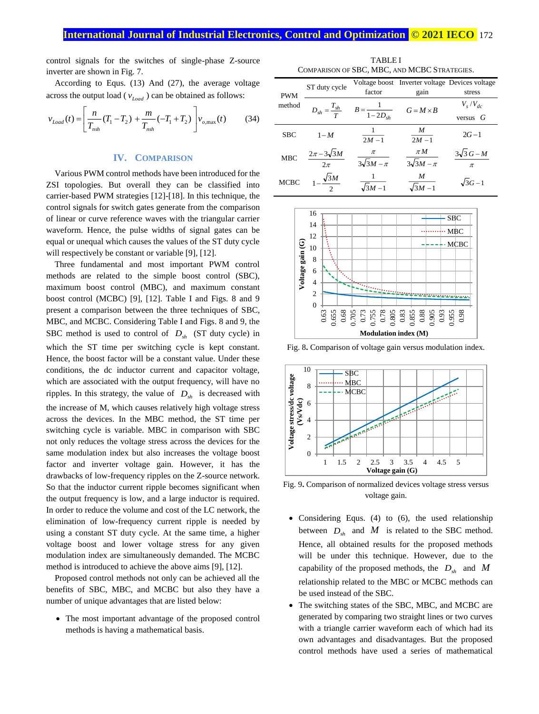control signals for the switches of single-phase Z-source inverter are shown in Fig. 7.

According to Equs. (13) And (27), the average voltage across the output load ( $v_{Load}$ ) can be obtained as follows:

$$
v_{Load}(t) = \left[ \frac{n}{T_{nsh}} (T_1 - T_2) + \frac{m}{T_{nsh}} (-T_1 + T_2) \right] v_{o, \text{max}}(t)
$$
 (34)

#### **IV. COMPARISON**

Various PWM control methods have been introduced for the ZSI topologies. But overall they can be classified into carrier-based PWM strategies [12]-[18]. In this technique, the control signals for switch gates generate from the comparison of linear or curve reference waves with the triangular carrier waveform. Hence, the pulse widths of signal gates can be equal or unequal which causes the values of the ST duty cycle will respectively be constant or variable [9], [12].

Three fundamental and most important PWM control methods are related to the simple boost control (SBC), maximum boost control (MBC), and maximum constant boost control (MCBC) [9], [12]. Table I and Figs. 8 and 9 present a comparison between the three techniques of SBC, MBC, and MCBC. Considering Table I and Figs. 8 and 9, the SBC method is used to control of  $D_{sh}$  (ST duty cycle) in which the ST time per switching cycle is kept constant. Hence, the boost factor will be a constant value. Under these conditions, the dc inductor current and capacitor voltage, which are associated with the output frequency, will have no ripples. In this strategy, the value of  $D_{sh}$  is decreased with the increase of M, which causes relatively high voltage stress across the devices. In the MBC method, the ST time per switching cycle is variable. MBC in comparison with SBC not only reduces the voltage stress across the devices for the same modulation index but also increases the voltage boost factor and inverter voltage gain. However, it has the drawbacks of low-frequency ripples on the Z-source network. So that the inductor current ripple becomes significant when the output frequency is low, and a large inductor is required. In order to reduce the volume and cost of the LC network, the elimination of low-frequency current ripple is needed by using a constant ST duty cycle. At the same time, a higher voltage boost and lower voltage stress for any given modulation index are simultaneously demanded. The MCBC method is introduced to achieve the above aims [9], [12].

Proposed control methods not only can be achieved all the benefits of SBC, MBC, and MCBC but also they have a number of unique advantages that are listed below:

 The most important advantage of the proposed control methods is having a mathematical basis.

TABLE I COMPARISON OF SBC, MBC, AND MCBC STRATEGIES.

| <b>PWM</b><br>method | ST duty cycle                         | factor                                                  | Voltage boost Inverter voltage Devices voltage<br>gain | stress                     |
|----------------------|---------------------------------------|---------------------------------------------------------|--------------------------------------------------------|----------------------------|
|                      |                                       | $D_{sh} = \frac{T_{sh}}{T}$ $B = \frac{1}{1 - 2D_{sh}}$ | $G = M \times B$                                       | $V_s/V_{dc}$<br>versus $G$ |
| <b>SBC</b>           | $1-M$                                 | $2M - 1$                                                | M<br>$2M - 1$                                          | $2G - 1$                   |
| <b>MBC</b>           | $\frac{2\pi-3\sqrt{3}M}{2}$<br>$2\pi$ | $\pi$<br>$3\sqrt{3}M - \pi$                             | $\pi M$<br>$3\sqrt{3}M - \pi$                          | $3\sqrt{3} G - M$<br>$\pi$ |
| <b>MCBC</b>          | $\frac{\sqrt{3M}}{2}$                 | $\sqrt{3M-1}$                                           | M<br>$3M - 1$                                          | $\sqrt{3G-1}$              |



Fig. 8**.** Comparison of voltage gain versus modulation index.



Fig. 9**.** Comparison of normalized devices voltage stress versus voltage gain.

- Considering Equs. (4) to (6), the used relationship between  $D_{sh}$  and  $M$  is related to the SBC method. Hence, all obtained results for the proposed methods will be under this technique. However, due to the capability of the proposed methods, the  $D_{sh}$  and M relationship related to the MBC or MCBC methods can be used instead of the SBC.
- The switching states of the SBC, MBC, and MCBC are generated by comparing two straight lines or two curves with a triangle carrier waveform each of which had its own advantages and disadvantages. But the proposed control methods have used a series of mathematical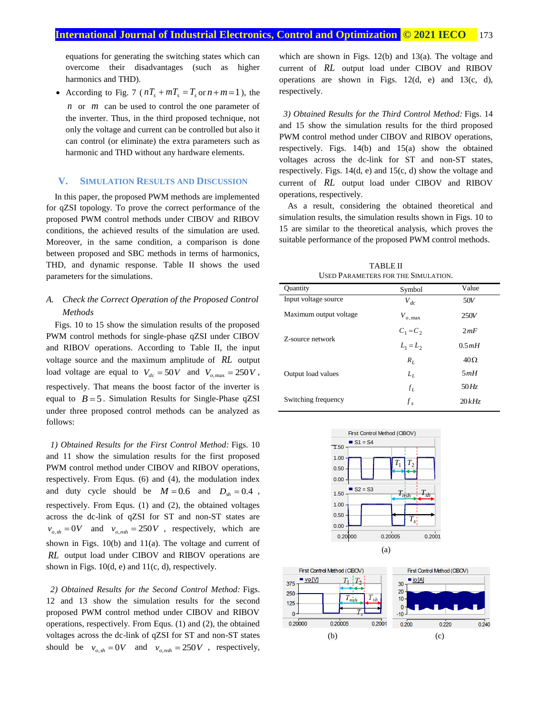equations for generating the switching states which can overcome their disadvantages (such as higher harmonics and THD).

• According to Fig. 7 ( $nT_s + mT_s = T_s$  or  $n+m=1$ ), the *<sup>n</sup>* or *<sup>m</sup>* can be used to control the one parameter of the inverter. Thus, in the third proposed technique, not only the voltage and current can be controlled but also it can control (or eliminate) the extra parameters such as harmonic and THD without any hardware elements.

## **V. SIMULATION RESULTS AND DISCUSSION**

In this paper, the proposed PWM methods are implemented for qZSI topology. To prove the correct performance of the proposed PWM control methods under CIBOV and RIBOV conditions, the achieved results of the simulation are used. Moreover, in the same condition, a comparison is done between proposed and SBC methods in terms of harmonics, THD, and dynamic response. Table II shows the used parameters for the simulations.

# *A. Check the Correct Operation of the Proposed Control Methods*

Figs. 10 to 15 show the simulation results of the proposed PWM control methods for single-phase qZSI under CIBOV and RIBOV operations. According to Table II, the input voltage source and the maximum amplitude of *RL* output load voltage are equal to  $V_{dc} = 50V$  and  $V_{o,\text{max}} = 250V$ , respectively. That means the boost factor of the inverter is equal to  $B = 5$ . Simulation Results for Single-Phase qZSI under three proposed control methods can be analyzed as follows:

*1) Obtained Results for the First Control Method:* Figs. 10 and 11 show the simulation results for the first proposed PWM control method under CIBOV and RIBOV operations, respectively. From Equs. (6) and (4), the modulation index and duty cycle should be  $M = 0.6$  and  $D_{sh} = 0.4$ , respectively. From Equs. (1) and (2), the obtained voltages across the dc-link of qZSI for ST and non-ST states are  $v_{o,sh} = 0V$  and  $v_{o,nsh} = 250V$ , respectively, which are shown in Figs. 10(b) and 11(a). The voltage and current of *RL* output load under CIBOV and RIBOV operations are shown in Figs.  $10(d, e)$  and  $11(c, d)$ , respectively.

*2) Obtained Results for the Second Control Method:* Figs. 12 and 13 show the simulation results for the second proposed PWM control method under CIBOV and RIBOV operations, respectively. From Equs. (1) and (2), the obtained voltages across the dc-link of qZSI for ST and non-ST states should be  $v_{o,sh} = 0V$  and  $v_{o,nsh} = 250V$ , respectively, which are shown in Figs. 12(b) and 13(a). The voltage and current of *RL* output load under CIBOV and RIBOV operations are shown in Figs. 12(d, e) and 13(c, d), respectively.

*3) Obtained Results for the Third Control Method:* Figs. 14 and 15 show the simulation results for the third proposed PWM control method under CIBOV and RIBOV operations, respectively. Figs. 14(b) and 15(a) show the obtained voltages across the dc-link for ST and non-ST states, respectively. Figs. 14(d, e) and 15(c, d) show the voltage and current of *RL* output load under CIBOV and RIBOV operations, respectively.

As a result, considering the obtained theoretical and simulation results, the simulation results shown in Figs. 10 to 15 are similar to the theoretical analysis, which proves the suitable performance of the proposed PWM control methods.

TABLE II USED PARAMETERS FOR THE SIMULATION.

| Ouantity               | Symbol             | Value      |
|------------------------|--------------------|------------|
| Input voltage source   | $V_{dc}$           | 50V        |
| Maximum output voltage | $V_{o,\text{max}}$ | 250V       |
|                        | $C_1 = C_2$        | 2mF        |
| Z-source network       | $L_1 = L_2$        | 0.5mH      |
|                        | $R_L$              | $40\Omega$ |
| Output load values     | $L_L$              | 5mH        |
|                        | $f_L$              | 50Hz       |
| Switching frequency    | $f_s$              | 20kHz      |



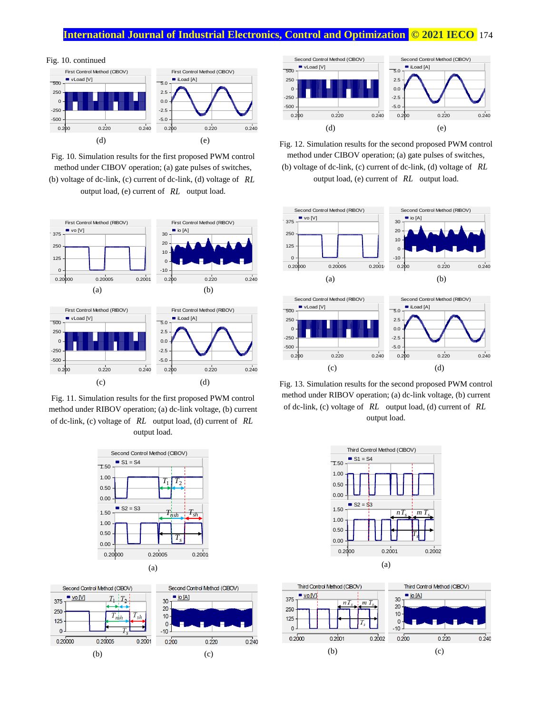# **International Journal of Industrial Electronics, Control and Optimization © 2021 IECO 174**



Fig. 10. Simulation results for the first proposed PWM control method under CIBOV operation; (a) gate pulses of switches, (b) voltage of dc-link, (c) current of dc-link, (d) voltage of *RL*

output load, (e) current of *RL* output load.



Fig. 11. Simulation results for the first proposed PWM control method under RIBOV operation; (a) dc-link voltage, (b) current of dc-link, (c) voltage of *RL* output load, (d) current of *RL* output load.







Fig. 12. Simulation results for the second proposed PWM control method under CIBOV operation; (a) gate pulses of switches,

(b) voltage of dc-link, (c) current of dc-link, (d) voltage of *RL* output load, (e) current of *RL* output load.



Fig. 13. Simulation results for the second proposed PWM control method under RIBOV operation; (a) dc-link voltage, (b) current of dc-link, (c) voltage of *RL* output load, (d) current of *RL* output load.



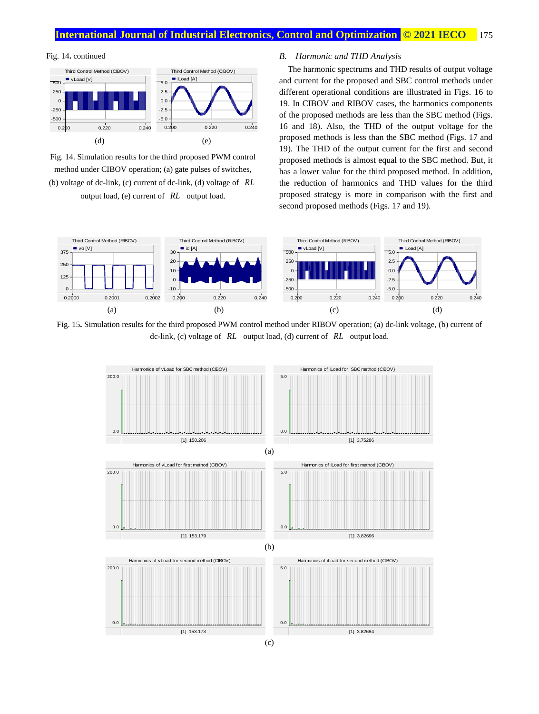# **International Journal of Industrial Electronics, Control and Optimization © 2021 <b>IECO** 175

#### Fig. 14**.** continued



Fig. 14. Simulation results for the third proposed PWM control method under CIBOV operation; (a) gate pulses of switches, (b) voltage of dc-link, (c) current of dc-link, (d) voltage of *RL*

output load, (e) current of *RL* output load.

#### *B. Harmonic and THD Analysis*

The harmonic spectrums and THD results of output voltage and current for the proposed and SBC control methods under different operational conditions are illustrated in Figs. 16 to 19. In CIBOV and RIBOV cases, the harmonics components of the proposed methods are less than the SBC method (Figs. 16 and 18). Also, the THD of the output voltage for the proposed methods is less than the SBC method (Figs. 17 and 19). The THD of the output current for the first and second proposed methods is almost equal to the SBC method. But, it has a lower value for the third proposed method. In addition, the reduction of harmonics and THD values for the third proposed strategy is more in comparison with the first and second proposed methods (Figs. 17 and 19).



Fig. 15**.** Simulation results for the third proposed PWM control method under RIBOV operation; (a) dc-link voltage, (b) current of dc-link, (c) voltage of *RL* output load, (d) current of *RL* output load.

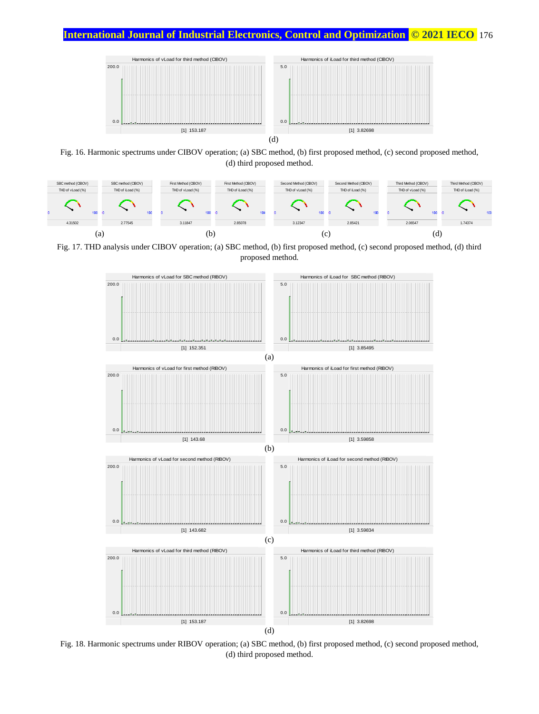

Fig. 16. Harmonic spectrums under CIBOV operation; (a) SBC method, (b) first proposed method, (c) second proposed method, (d) third proposed method.



Fig. 17. THD analysis under CIBOV operation; (a) SBC method, (b) first proposed method, (c) second proposed method, (d) third proposed method.



Fig. 18. Harmonic spectrums under RIBOV operation; (a) SBC method, (b) first proposed method, (c) second proposed method,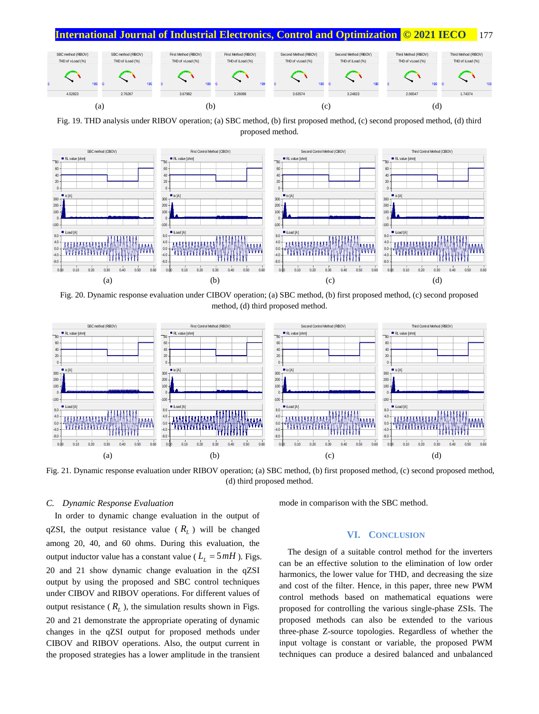



Fig. 19. THD analysis under RIBOV operation; (a) SBC method, (b) first proposed method, (c) second proposed method, (d) third proposed method.



Fig. 20. Dynamic response evaluation under CIBOV operation; (a) SBC method, (b) first proposed method, (c) second proposed method, (d) third proposed method.



Fig. 21. Dynamic response evaluation under RIBOV operation; (a) SBC method, (b) first proposed method, (c) second proposed method, (d) third proposed method.

# *C. Dynamic Response Evaluation*

In order to dynamic change evaluation in the output of qZSI, the output resistance value ( *RL* ) will be changed among 20, 40, and 60 ohms. During this evaluation, the output inductor value has a constant value ( $L<sub>L</sub> = 5 mH$ ). Figs. 20 and 21 show dynamic change evaluation in the qZSI output by using the proposed and SBC control techniques under CIBOV and RIBOV operations. For different values of output resistance  $(R_L)$ , the simulation results shown in Figs. 20 and 21 demonstrate the appropriate operating of dynamic changes in the qZSI output for proposed methods under CIBOV and RIBOV operations. Also, the output current in the proposed strategies has a lower amplitude in the transient

mode in comparison with the SBC method.

## **VI. CONCLUSION**

The design of a suitable control method for the inverters can be an effective solution to the elimination of low order harmonics, the lower value for THD, and decreasing the size and cost of the filter. Hence, in this paper, three new PWM control methods based on mathematical equations were proposed for controlling the various single-phase ZSIs. The proposed methods can also be extended to the various three-phase Z-source topologies. Regardless of whether the input voltage is constant or variable, the proposed PWM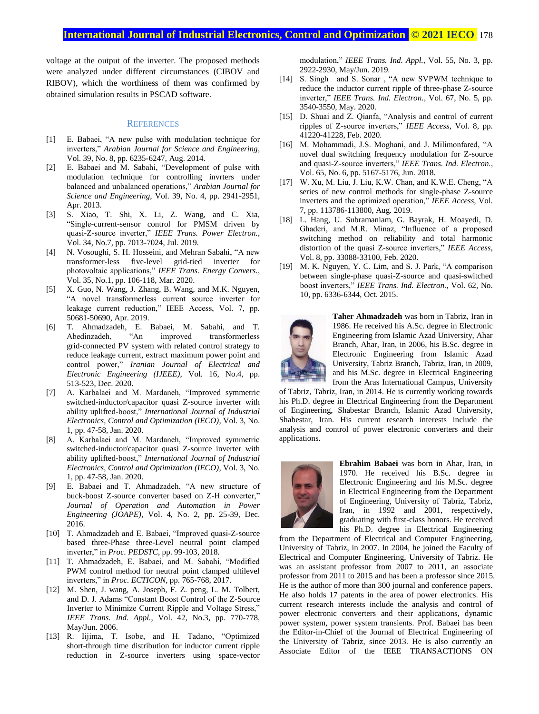voltage at the output of the inverter. The proposed methods were analyzed under different circumstances (CIBOV and RIBOV), which the worthiness of them was confirmed by obtained simulation results in PSCAD software.

#### **REFERENCES**

- [1] E. Babaei, "A new pulse with modulation technique for inverters," *Arabian Journal for Science and Engineering*, Vol. 39, No. 8, pp. 6235-6247, Aug. 2014.
- [2] E. Babaei and M. Sabahi, "Development of pulse with modulation technique for controlling invrters under balanced and unbalanced operations," *Arabian Journal for Science and Engineering*, Vol. 39, No. 4, pp. 2941-2951, Apr. 2013.
- [3] S. Xiao, T. Shi, X. Li, Z. Wang, and C. Xia, "Single-current-sensor control for PMSM driven by quasi-Z-source inverter," *IEEE Trans. Power Electron.*, Vol. 34, No.7, pp. 7013-7024, Jul. 2019.
- [4] N. Vosoughi, S. H. Hosseini, and Mehran Sabahi, "A new transformer-less five-level grid-tied inverter for photovoltaic applications," *IEEE Trans. Energy Convers.*, Vol. 35, No.1, pp. 106-118, Mar. 2020.
- [5] X. Guo, N. Wang, J. Zhang, B. Wang, and M.K. Nguyen, "A novel transformerless current source inverter for leakage current reduction," IEEE Access, Vol. 7, pp. 50681-50690, Apr. 2019.
- [6] T. Ahmadzadeh, E. Babaei, M. Sabahi, and T. Abedinzadeh, "An improved transformerless grid-connected PV system with related control strategy to reduce leakage current, extract maximum power point and control power," *Iranian Journal of Electrical and Electronic Engineering (IJEEE)*, Vol. 16, No.4, pp. 513-523, Dec. 2020.
- [7] A. Karbalaei and M. Mardaneh, "Improved symmetric switched-inductor/capacitor quasi Z-source inverter with ability uplifted-boost," *International Journal of Industrial Electronics, Control and Optimization (IECO)*, Vol. 3, No. 1, pp. 47-58, Jan. 2020.
- [8] A. Karbalaei and M. Mardaneh, "Improved symmetric switched-inductor/capacitor quasi Z-source inverter with ability uplifted-boost," *International Journal of Industrial Electronics, Control and Optimization (IECO)*, Vol. 3, No. 1, pp. 47-58, Jan. 2020.
- [9] E. Babaei and T. Ahmadzadeh, "A new structure of buck-boost Z-source converter based on Z-H converter," *Journal of Operation and Automation in Power Engineering (JOAPE)*, Vol. 4, No. 2, pp. 25-39, Dec. 2016.
- [10] T. Ahmadzadeh and E. Babaei, "Improved quasi-Z-source" based three-Phase three-Level neutral point clamped inverter," in *Proc. PEDSTC*, pp. 99-103, 2018.
- [11] T. Ahmadzadeh, E. Babaei, and M. Sabahi, "Modified PWM control method for neutral point clamped ultilevel inverters," in *Proc. ECTICON*, pp. 765-768, 2017.
- [12] M. Shen, J. wang, A. Joseph, F. Z. peng, L. M. Tolbert, and D. J. Adams "Constant Boost Control of the Z-Source Inverter to Minimize Current Ripple and Voltage Stress," *IEEE Trans. Ind. Appl.*, Vol. 42, No.3, pp. 770-778, May/Jun. 2006.
- [13] R. Iijima, T. Isobe, and H. Tadano, "Optimized short-through time distribution for inductor current ripple reduction in Z-source inverters using space-vector

modulation," *IEEE Trans. Ind. Appl.*, Vol. 55, No. 3, pp. 2922-2930, May/Jun. 2019.

- [14] S. Singh and S. Sonar , "A new SVPWM technique to reduce the inductor current ripple of three-phase Z-source inverter," *IEEE Trans. Ind. Electron.*, Vol. 67, No. 5, pp. 3540-3550, May. 2020.
- [15] D. Shuai and Z. Qianfa, "Analysis and control of current ripples of Z-source inverters," *IEEE Access*, Vol. 8, pp. 41220-41228, Feb. 2020.
- [16] M. Mohammadi, J.S. Moghani, and J. Milimonfared, "A novel dual switching frequency modulation for Z-source and quasi-Z-source inverters," *IEEE Trans. Ind. Electron.*, Vol. 65, No. 6, pp. 5167-5176, Jun. 2018.
- [17] W. Xu, M. Liu, J. Liu, K.W. Chan, and K.W.E. Cheng, "A series of new control methods for single-phase Z-source inverters and the optimized operation," *IEEE Access*, Vol. 7, pp. 113786-113800, Aug. 2019.
- [18] L. Hang, U. Subramaniam, G. Bayrak, H. Moayedi, D. Ghaderi, and M.R. Minaz, "Influence of a proposed switching method on reliability and total harmonic distortion of the quasi Z-source inverters," *IEEE Access*, Vol. 8, pp. 33088-33100, Feb. 2020.
- [19] M. K. Nguyen, Y. C. Lim, and S. J. Park, "A comparison between single-phase quasi-Z-source and quasi-switched boost inverters," *IEEE Trans. Ind. Electron.*, Vol. 62, No. 10, pp. 6336-6344, Oct. 2015.



**Taher Ahmadzadeh** was born in Tabriz, Iran in 1986. He received his A.Sc. degree in Electronic Engineering from Islamic Azad University, Ahar Branch, Ahar, Iran, in 2006, his B.Sc. degree in Electronic Engineering from Islamic Azad University, Tabriz Branch, Tabriz, Iran, in 2009, and his M.Sc. degree in Electrical Engineering from the Aras International Campus, University

of Tabriz, Tabriz, Iran, in 2014. He is currently working towards his Ph.D. degree in Electrical Engineering from the Department of Engineering, Shabestar Branch, Islamic Azad University, Shabestar, Iran. His current research interests include the analysis and control of power electronic converters and their applications.



**Ebrahim Babaei** was born in Ahar, Iran, in 1970. He received his B.Sc. degree in Electronic Engineering and his M.Sc. degree in Electrical Engineering from the Department of Engineering, University of Tabriz, Tabriz, Iran, in 1992 and 2001, respectively, graduating with first-class honors. He received his Ph.D. degree in Electrical Engineering

from the Department of Electrical and Computer Engineering, University of Tabriz, in 2007. In 2004, he joined the Faculty of Electrical and Computer Engineering, University of Tabriz. He was an assistant professor from 2007 to 2011, an associate professor from 2011 to 2015 and has been a professor since 2015. He is the author of more than 300 journal and conference papers. He also holds 17 patents in the area of power electronics. His current research interests include the analysis and control of power electronic converters and their applications, dynamic power system, power system transients. Prof. Babaei has been the Editor-in-Chief of the Journal of Electrical Engineering of the University of Tabriz, since 2013. He is also currently an Associate Editor of the IEEE TRANSACTIONS ON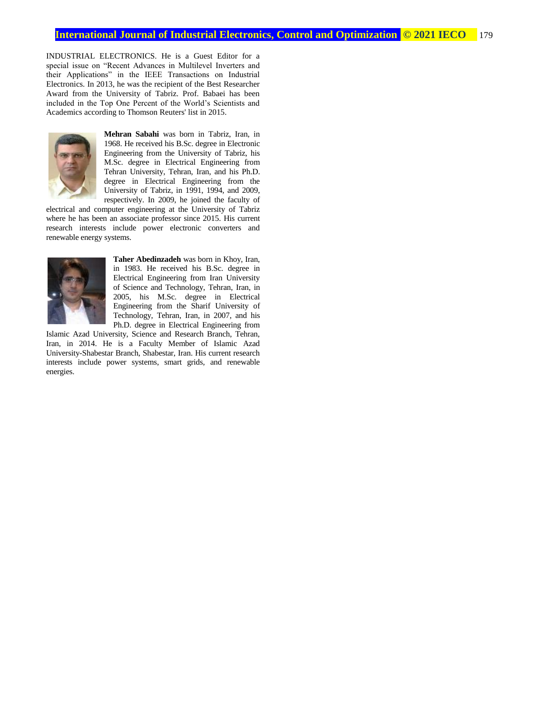INDUSTRIAL ELECTRONICS. He is a Guest Editor for a special issue on "Recent Advances in Multilevel Inverters and their Applications" in the IEEE Transactions on Industrial Electronics. In 2013, he was the recipient of the Best Researcher Award from the University of Tabriz. Prof. Babaei has been included in the Top One Percent of the World's Scientists and Academics according to Thomson Reuters' list in 2015.



**Mehran Sabahi** was born in Tabriz, Iran, in 1968. He received his B.Sc. degree in Electronic Engineering from the University of Tabriz, his M.Sc. degree in Electrical Engineering from Tehran University, Tehran, Iran, and his Ph.D. degree in Electrical Engineering from the University of Tabriz, in 1991, 1994, and 2009, respectively. In 2009, he joined the faculty of

electrical and computer engineering at the University of Tabriz where he has been an associate professor since 2015. His current research interests include power electronic converters and renewable energy systems.



**Taher Abedinzadeh** was born in Khoy, Iran, in 1983. He received his B.Sc. degree in Electrical Engineering from Iran University of Science and Technology, Tehran, Iran, in 2005, his M.Sc. degree in Electrical Engineering from the Sharif University of Technology, Tehran, Iran, in 2007, and his Ph.D. degree in Electrical Engineering from

Islamic Azad University, Science and Research Branch, Tehran, Iran, in 2014. He is a Faculty Member of Islamic Azad University-Shabestar Branch, Shabestar, Iran. His current research interests include power systems, smart grids, and renewable energies.